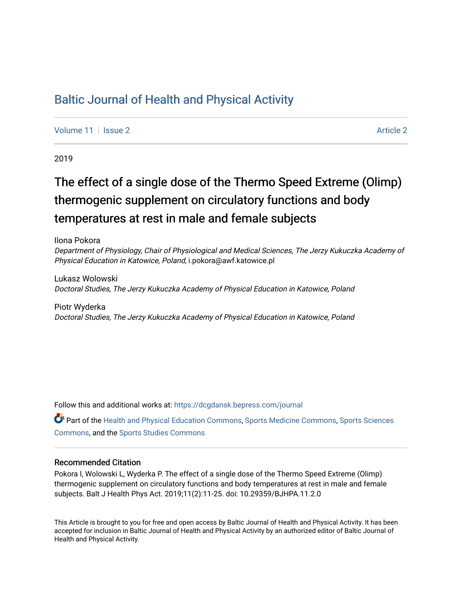## [Baltic Journal of Health and Physical Activity](https://dcgdansk.bepress.com/journal)

[Volume 11](https://dcgdansk.bepress.com/journal/vol11) | [Issue 2](https://dcgdansk.bepress.com/journal/vol11/iss2) [Article 2](https://dcgdansk.bepress.com/journal/vol11/iss2/2) Article 2 Article 2 Article 2 Article 2 Article 2 Article 2 Article 2 Article 2

2019

# The effect of a single dose of the Thermo Speed Extreme (Olimp) thermogenic supplement on circulatory functions and body temperatures at rest in male and female subjects

Ilona Pokora Department of Physiology, Chair of Physiological and Medical Sciences, The Jerzy Kukuczka Academy of Physical Education in Katowice, Poland, i.pokora@awf.katowice.pl

Lukasz Wolowski Doctoral Studies, The Jerzy Kukuczka Academy of Physical Education in Katowice, Poland

Piotr Wyderka Doctoral Studies, The Jerzy Kukuczka Academy of Physical Education in Katowice, Poland

Follow this and additional works at: [https://dcgdansk.bepress.com/journal](https://dcgdansk.bepress.com/journal?utm_source=dcgdansk.bepress.com%2Fjournal%2Fvol11%2Fiss2%2F2&utm_medium=PDF&utm_campaign=PDFCoverPages)

Part of the [Health and Physical Education Commons](http://network.bepress.com/hgg/discipline/1327?utm_source=dcgdansk.bepress.com%2Fjournal%2Fvol11%2Fiss2%2F2&utm_medium=PDF&utm_campaign=PDFCoverPages), [Sports Medicine Commons,](http://network.bepress.com/hgg/discipline/1331?utm_source=dcgdansk.bepress.com%2Fjournal%2Fvol11%2Fiss2%2F2&utm_medium=PDF&utm_campaign=PDFCoverPages) [Sports Sciences](http://network.bepress.com/hgg/discipline/759?utm_source=dcgdansk.bepress.com%2Fjournal%2Fvol11%2Fiss2%2F2&utm_medium=PDF&utm_campaign=PDFCoverPages) [Commons](http://network.bepress.com/hgg/discipline/759?utm_source=dcgdansk.bepress.com%2Fjournal%2Fvol11%2Fiss2%2F2&utm_medium=PDF&utm_campaign=PDFCoverPages), and the [Sports Studies Commons](http://network.bepress.com/hgg/discipline/1198?utm_source=dcgdansk.bepress.com%2Fjournal%2Fvol11%2Fiss2%2F2&utm_medium=PDF&utm_campaign=PDFCoverPages) 

### Recommended Citation

Pokora I, Wolowski L, Wyderka P. The effect of a single dose of the Thermo Speed Extreme (Olimp) thermogenic supplement on circulatory functions and body temperatures at rest in male and female subjects. Balt J Health Phys Act. 2019;11(2):11-25. doi: 10.29359/BJHPA.11.2.0

This Article is brought to you for free and open access by Baltic Journal of Health and Physical Activity. It has been accepted for inclusion in Baltic Journal of Health and Physical Activity by an authorized editor of Baltic Journal of Health and Physical Activity.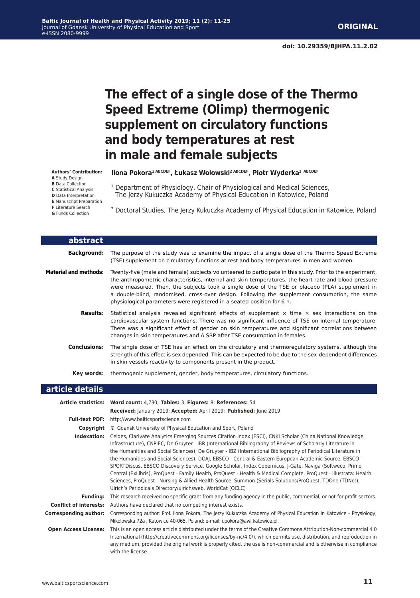## **The effect of a single dose of the Thermo Speed Extreme (Olimp) thermogenic supplement on circulatory functions and body temperatures at rest in male and female subjects**

**Authors' Contribution:**

- **A** Study Design
- **B** Data Collection
- **C** Statistical Analysis
- **D** Data Interpretation
- **E** Manuscript Preparation
- **F** Literature Search
- **G** Funds Collection

<sup>1</sup> Department of Physiology, Chair of Physiological and Medical Sciences, The Jerzy Kukuczka Academy of Physical Education in Katowice, Poland

**Ilona Pokora1 ABCDEF, Łukasz Wolowski2 ABCDEF, Piotr Wyderka<sup>2</sup> ABCDEF**

2 Doctoral Studies, The Jerzy Kukuczka Academy of Physical Education in Katowice, Poland

| abstract                     |                                                                                                                                                                                                                                                                                                                                                                                                                                                                                                 |
|------------------------------|-------------------------------------------------------------------------------------------------------------------------------------------------------------------------------------------------------------------------------------------------------------------------------------------------------------------------------------------------------------------------------------------------------------------------------------------------------------------------------------------------|
| <b>Background:</b>           | The purpose of the study was to examine the impact of a single dose of the Thermo Speed Extreme<br>(TSE) supplement on circulatory functions at rest and body temperatures in men and women.                                                                                                                                                                                                                                                                                                    |
| <b>Material and methods:</b> | Twenty-five (male and female) subjects volunteered to participate in this study. Prior to the experiment,<br>the anthropometric characteristics, internal and skin temperatures, the heart rate and blood pressure<br>were measured. Then, the subjects took a single dose of the TSE or placebo (PLA) supplement in<br>a double-blind, randomised, cross-over design. Following the supplement consumption, the same<br>physiological parameters were registered in a seated position for 6 h. |
| <b>Results:</b>              | Statistical analysis revealed significant effects of supplement $\times$ time $\times$ sex interactions on the<br>cardiovascular system functions. There was no significant influence of TSE on internal temperature.<br>There was a significant effect of gender on skin temperatures and significant correlations between<br>changes in skin temperatures and $\Delta$ SBP after TSE consumption in females.                                                                                  |
| <b>Conclusions:</b>          | The single dose of TSE has an effect on the circulatory and thermoregulatory systems, although the<br>strength of this effect is sex depended. This can be expected to be due to the sex-dependent differences<br>in skin vessels reactivity to components present in the product.                                                                                                                                                                                                              |
| Kev words:                   | thermogenic supplement, gender, body temperatures, circulatory functions.                                                                                                                                                                                                                                                                                                                                                                                                                       |

### **article details**

|                               | Article statistics: Word count: 4,730; Tables: 3; Figures: 8; References: 54                                                                                                                                                                                                                                                                                                                                                                                                                                                                                                                                                                                                                                                                                                                                                                                  |
|-------------------------------|---------------------------------------------------------------------------------------------------------------------------------------------------------------------------------------------------------------------------------------------------------------------------------------------------------------------------------------------------------------------------------------------------------------------------------------------------------------------------------------------------------------------------------------------------------------------------------------------------------------------------------------------------------------------------------------------------------------------------------------------------------------------------------------------------------------------------------------------------------------|
|                               | Received: January 2019; Accepted: April 2019; Published: June 2019                                                                                                                                                                                                                                                                                                                                                                                                                                                                                                                                                                                                                                                                                                                                                                                            |
|                               | <b>Full-text PDF:</b> http://www.balticsportscience.com                                                                                                                                                                                                                                                                                                                                                                                                                                                                                                                                                                                                                                                                                                                                                                                                       |
| Copyright                     | © Gdansk University of Physical Education and Sport, Poland                                                                                                                                                                                                                                                                                                                                                                                                                                                                                                                                                                                                                                                                                                                                                                                                   |
| Indexation:                   | Celdes, Clarivate Analytics Emerging Sources Citation Index (ESCI), CNKI Scholar (China National Knowledge<br>Infrastructure), CNPIEC, De Gruyter - IBR (International Bibliography of Reviews of Scholarly Literature in<br>the Humanities and Social Sciences), De Gruyter - IBZ (International Bibliography of Periodical Literature in<br>the Humanities and Social Sciences), DOAJ, EBSCO - Central & Eastern European Academic Source, EBSCO -<br>SPORTDiscus, EBSCO Discovery Service, Google Scholar, Index Copernicus, J-Gate, Naviga (Softweco, Primo<br>Central (ExLibris), ProQuest - Family Health, ProQuest - Health & Medical Complete, ProQuest - Illustrata: Health<br>Sciences, ProQuest - Nursing & Allied Health Source, Summon (Serials Solutions/ProQuest, TDOne (TDNet),<br>Ulrich's Periodicals Directory/ulrichsweb, WorldCat (OCLC) |
| <b>Funding:</b>               | This research received no specific grant from any funding agency in the public, commercial, or not-for-profit sectors.                                                                                                                                                                                                                                                                                                                                                                                                                                                                                                                                                                                                                                                                                                                                        |
| <b>Conflict of interests:</b> | Authors have declared that no competing interest exists.                                                                                                                                                                                                                                                                                                                                                                                                                                                                                                                                                                                                                                                                                                                                                                                                      |
| <b>Corresponding author:</b>  | Corresponding author: Prof. Ilona Pokora, The Jerzy Kukuczka Academy of Physical Education in Katowice - Physiology;<br>Mikolowska 72a, Katowice 40-065, Poland; e-mail: i.pokora@awf.katowice.pl.                                                                                                                                                                                                                                                                                                                                                                                                                                                                                                                                                                                                                                                            |
| <b>Open Access License:</b>   | This is an open access article distributed under the terms of the Creative Commons Attribution-Non-commercial 4.0<br>International (http://creativecommons.org/licenses/by-nc/4.0/), which permits use, distribution, and reproduction in<br>any medium, provided the original work is properly cited, the use is non-commercial and is otherwise in compliance<br>with the license.                                                                                                                                                                                                                                                                                                                                                                                                                                                                          |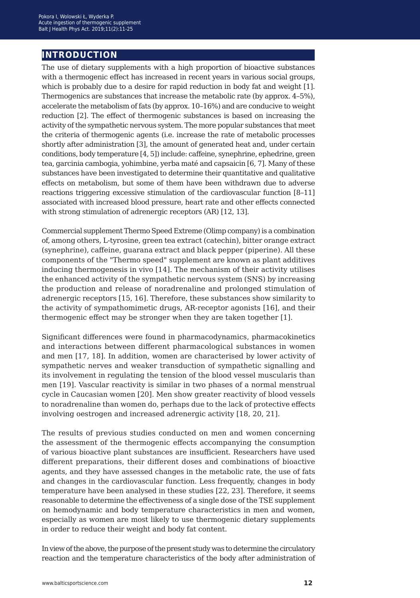### **introduction**

The use of dietary supplements with a high proportion of bioactive substances with a thermogenic effect has increased in recent years in various social groups, which is probably due to a desire for rapid reduction in body fat and weight [1]. Thermogenics are substances that increase the metabolic rate (by approx. 4–5%), accelerate the metabolism of fats (by approx. 10–16%) and are conducive to weight reduction [2]. The effect of thermogenic substances is based on increasing the activity of the sympathetic nervous system. The more popular substances that meet the criteria of thermogenic agents (i.e. increase the rate of metabolic processes shortly after administration [3], the amount of generated heat and, under certain conditions, body temperature [4, 5]) include: caffeine, synephrine, ephedrine, green tea, garcinia cambogia, yohimbine, yerba maté and capsaicin [6, 7]. Many of these substances have been investigated to determine their quantitative and qualitative effects on metabolism, but some of them have been withdrawn due to adverse reactions triggering excessive stimulation of the cardiovascular function [8–11] associated with increased blood pressure, heart rate and other effects connected with strong stimulation of adrenergic receptors (AR) [12, 13].

Commercial supplement Thermo Speed Extreme (Olimp company) is a combination of, among others, L-tyrosine, green tea extract (catechin), bitter orange extract (synephrine), caffeine, guarana extract and black pepper (piperine). All these components of the "Thermo speed" supplement are known as plant additives inducing thermogenesis in vivo [14]. The mechanism of their activity utilises the enhanced activity of the sympathetic nervous system (SNS) by increasing the production and release of noradrenaline and prolonged stimulation of adrenergic receptors [15, 16]. Therefore, these substances show similarity to the activity of sympathomimetic drugs, AR-receptor agonists [16], and their thermogenic effect may be stronger when they are taken together [1].

Significant differences were found in pharmacodynamics, pharmacokinetics and interactions between different pharmacological substances in women and men [17, 18]. In addition, women are characterised by lower activity of sympathetic nerves and weaker transduction of sympathetic signalling and its involvement in regulating the tension of the blood vessel muscularis than men [19]. Vascular reactivity is similar in two phases of a normal menstrual cycle in Caucasian women [20]. Men show greater reactivity of blood vessels to noradrenaline than women do, perhaps due to the lack of protective effects involving oestrogen and increased adrenergic activity [18, 20, 21].

The results of previous studies conducted on men and women concerning the assessment of the thermogenic effects accompanying the consumption of various bioactive plant substances are insufficient. Researchers have used different preparations, their different doses and combinations of bioactive agents, and they have assessed changes in the metabolic rate, the use of fats and changes in the cardiovascular function. Less frequently, changes in body temperature have been analysed in these studies [22, 23]. Therefore, it seems reasonable to determine the effectiveness of a single dose of the TSE supplement on hemodynamic and body temperature characteristics in men and women, especially as women are most likely to use thermogenic dietary supplements in order to reduce their weight and body fat content.

In view of the above, the purpose of the present study was to determine the circulatory reaction and the temperature characteristics of the body after administration of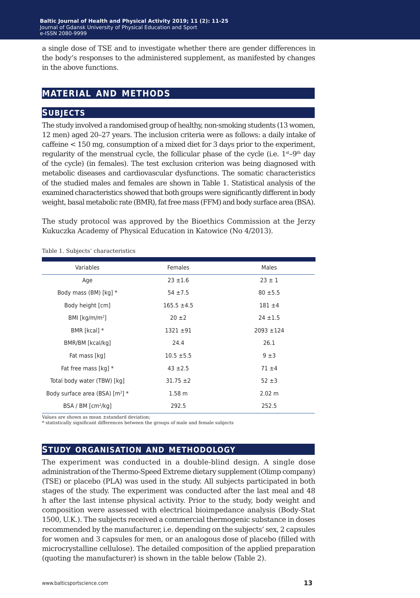a single dose of TSE and to investigate whether there are gender differences in the body's responses to the administered supplement, as manifested by changes in the above functions.

### **material and methods**

### **subjects**

The study involved a randomised group of healthy, non-smoking students (13 women, 12 men) aged 20–27 years. The inclusion criteria were as follows: a daily intake of caffeine < 150 mg, consumption of a mixed diet for 3 days prior to the experiment, regularity of the menstrual cycle, the follicular phase of the cycle (i.e.  $1^{st}$ – $9^{th}$  day of the cycle) (in females). The test exclusion criterion was being diagnosed with metabolic diseases and cardiovascular dysfunctions. The somatic characteristics of the studied males and females are shown in Table 1. Statistical analysis of the examined characteristics showed that both groups were significantly different in body weight, basal metabolic rate (BMR), fat free mass (FFM) and body surface area (BSA).

The study protocol was approved by the Bioethics Commission at the Jerzy Kukuczka Academy of Physical Education in Katowice (No 4/2013).

Table 1. Subjects' characteristics

| Females           | Males          |
|-------------------|----------------|
| $23 \pm 1.6$      | $23 \pm 1$     |
| $54 \pm 7.5$      | $80 + 5.5$     |
| $165.5 \pm 4.5$   | $181 + 4$      |
| $20 \pm 2$        | $24 \pm 1.5$   |
| $1321 \pm 91$     | $2093 \pm 124$ |
| 24.4              | 26.1           |
| $10.5 \pm 5.5$    | 9±3            |
| $43 \pm 2.5$      | $71 + 4$       |
| $31.75 \pm 2$     | $52 + 3$       |
| 1.58 <sub>m</sub> | 2.02 m         |
| 292.5             | 252.5          |
|                   |                |

Values are shown as mean ±standard deviation;

statistically significant differences between the groups of male and female subjects

### **study organisation and methodology**

The experiment was conducted in a double-blind design. A single dose administration of the Thermo-Speed Extreme dietary supplement (Olimp company) (TSE) or placebo (PLA) was used in the study. All subjects participated in both stages of the study. The experiment was conducted after the last meal and 48 h after the last intense physical activity. Prior to the study, body weight and composition were assessed with electrical bioimpedance analysis (Body-Stat 1500, U.K.). The subjects received a commercial thermogenic substance in doses recommended by the manufacturer, i.e. depending on the subjects' sex, 2 capsules for women and 3 capsules for men, or an analogous dose of placebo (filled with microcrystalline cellulose). The detailed composition of the applied preparation (quoting the manufacturer) is shown in the table below (Table 2).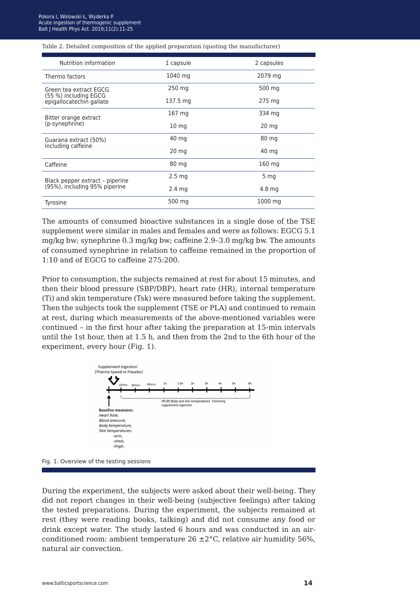#### Table 2. Detailed composition of the applied preparation (quoting the manufacturer)

| Nutrition information                                            | 1 capsule         | 2 capsules       |
|------------------------------------------------------------------|-------------------|------------------|
| Thermo factors                                                   | 1040 mg           | 2079 mg          |
| Green tea extract EGCG                                           | 250 mg            | 500 mg           |
| (55 %) including EGCG<br>epigallocatechin gallate                | 137.5 mg          | 275 mg           |
| Bitter orange extract                                            | 167 mg            | 334 mg           |
| (p-synephrine)                                                   | 10 <sub>mg</sub>  | 20 <sub>mg</sub> |
| Guarana extract (50%)                                            | 40 mg             | 80 mg            |
| including caffeine                                               | $20 \text{ mg}$   | 40 mg            |
| Caffeine                                                         | 80 mg             | 160 mg           |
|                                                                  | 2.5 <sub>ma</sub> | 5 mg             |
| Black pepper extract - piperine<br>(95%), including 95% piperine | $2.4 \text{ mg}$  | 4.8 mg           |
| Tyrosine                                                         | 500 mg            | 1000 mg          |

The amounts of consumed bioactive substances in a single dose of the TSE supplement were similar in males and females and were as follows: EGCG 5.1 mg/kg bw; synephrine 0.3 mg/kg bw; caffeine 2.9–3.0 mg/kg bw. The amounts of consumed synephrine in relation to caffeine remained in the proportion of 1:10 and of EGCG to caffeine 275:200.

Prior to consumption, the subjects remained at rest for about 15 minutes, and then their blood pressure (SBP/DBP), heart rate (HR), internal temperature (Ti) and skin temperature (Tsk) were measured before taking the supplement. Then the subjects took the supplement (TSE or PLA) and continued to remain at rest, during which measurements of the above-mentioned variables were continued – in the first hour after taking the preparation at 15-min intervals until the 1st hour, then at 1.5 h, and then from the 2nd to the 6th hour of the experiment, every hour (Fig. 1).





During the experiment, the subjects were asked about their well-being. They did not report changes in their well-being (subjective feelings) after taking the tested preparations. During the experiment, the subjects remained at rest (they were reading books, talking) and did not consume any food or drink except water. The study lasted 6 hours and was conducted in an airconditioned room: ambient temperature  $26 \pm 2^{\circ}$ C, relative air humidity 56%, natural air convection.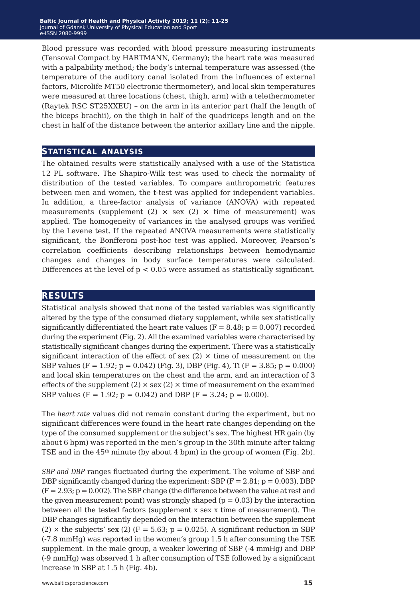Blood pressure was recorded with blood pressure measuring instruments (Tensoval Compact by HARTMANN, Germany); the heart rate was measured with a palpability method; the body's internal temperature was assessed (the temperature of the auditory canal isolated from the influences of external factors, Microlife MT50 electronic thermometer), and local skin temperatures were measured at three locations (chest, thigh, arm) with a telethermometer (Raytek RSC ST25XXEU) – on the arm in its anterior part (half the length of the biceps brachii), on the thigh in half of the quadriceps length and on the chest in half of the distance between the anterior axillary line and the nipple.

### **statistical analysis**

The obtained results were statistically analysed with a use of the Statistica 12 PL software. The Shapiro-Wilk test was used to check the normality of distribution of the tested variables. To compare anthropometric features between men and women, the t-test was applied for independent variables. In addition, a three-factor analysis of variance (ANOVA) with repeated measurements (supplement  $(2) \times$  sex  $(2) \times$  time of measurement) was applied. The homogeneity of variances in the analysed groups was verified by the Levene test. If the repeated ANOVA measurements were statistically significant, the Bonfferoni post-hoc test was applied. Moreover, Pearson's correlation coefficients describing relationships between hemodynamic changes and changes in body surface temperatures were calculated. Differences at the level of  $p < 0.05$  were assumed as statistically significant.

### **results**

Statistical analysis showed that none of the tested variables was significantly altered by the type of the consumed dietary supplement, while sex statistically significantly differentiated the heart rate values ( $F = 8.48$ ;  $p = 0.007$ ) recorded during the experiment (Fig. 2). All the examined variables were characterised by statistically significant changes during the experiment. There was a statistically significant interaction of the effect of sex  $(2) \times$  time of measurement on the SBP values (F = 1.92; p = 0.042) (Fig. 3), DBP (Fig. 4), Ti (F = 3.85; p = 0.000) and local skin temperatures on the chest and the arm, and an interaction of 3 effects of the supplement  $(2) \times$  sex  $(2) \times$  time of measurement on the examined SBP values (F = 1.92;  $p = 0.042$ ) and DBP (F = 3.24;  $p = 0.000$ ).

The *heart rate* values did not remain constant during the experiment, but no significant differences were found in the heart rate changes depending on the type of the consumed supplement or the subject's sex. The highest HR gain (by about 6 bpm) was reported in the men's group in the 30th minute after taking TSE and in the  $45<sup>th</sup>$  minute (by about 4 bpm) in the group of women (Fig. 2b).

*SBP and DBP* ranges fluctuated during the experiment. The volume of SBP and DBP significantly changed during the experiment: SBP  $(F = 2.81; p = 0.003)$ , DBP  $(F = 2.93; p = 0.002)$ . The SBP change (the difference between the value at rest and the given measurement point) was strongly shaped ( $p = 0.03$ ) by the interaction between all the tested factors (supplement x sex x time of measurement). The DBP changes significantly depended on the interaction between the supplement (2)  $\times$  the subjects' sex (2) (F = 5.63; p = 0.025). A significant reduction in SBP (-7.8 mmHg) was reported in the women's group 1.5 h after consuming the TSE supplement. In the male group, a weaker lowering of SBP (-4 mmHg) and DBP (-9 mmHg) was observed 1 h after consumption of TSE followed by a significant increase in SBP at 1.5 h (Fig. 4b).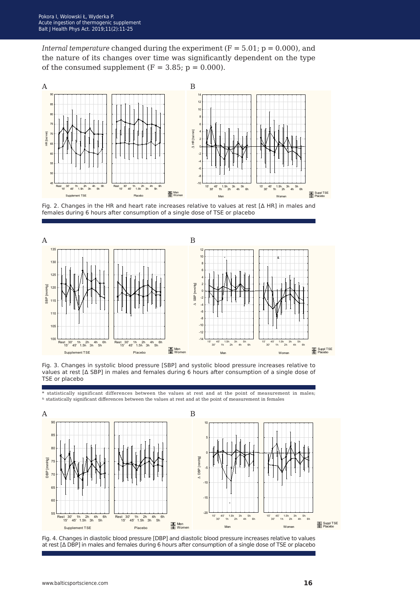*Internal temperature* changed during the experiment  $(F = 5.01; p = 0.000)$ , and the nature of its changes over time was significantly dependent on the type of the consumed supplement  $(F = 3.85; p = 0.000)$ .



Fig. 2. Changes in the HR and heart rate increases relative to values at rest [Δ HR] in males and females during 6 hours after consumption of a single dose of TSE or placebo



Fig. 3. Changes in systolic blood pressure [SBP] and systolic blood pressure increases relative to values at rest [Δ SBP] in males and females during 6 hours after consumption of a single dose of TSE or placebo

statistically significant differences between the values at rest and at the point of measurement in males;  $\upalpha$  statistically significant differences between the values at rest and at the point of measurement in females



Fig. 4. Changes in diastolic blood pressure [DBP] and diastolic blood pressure increases relative to values at rest [Δ DBP] in males and females during 6 hours after consumption of a single dose of TSE or placebo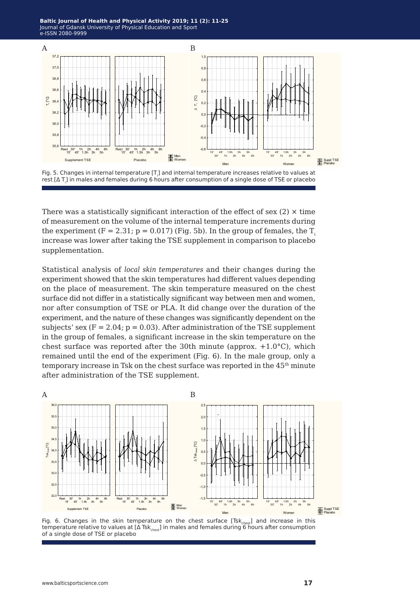**Baltic Journal of Health and Physical Activity 2014; 1(1): 1-4 Baltic Journal of Health and Physical Activity 2019; 11 (2): 11-25** Journal of Gdansk University of Physical Education and Sport Journal of Gdansk University of Physical Education and Sport e-ISSN 2080-9999 e-ISSN 2080-9999



There was a statistically significant interaction of the effect of sex  $(2) \times$  time of measurement on the volume of the internal temperature increments during the experiment  $(F = 2.31; p = 0.017)$  (Fig. 5b). In the group of females, the T. increase was lower after taking the TSE supplement in comparison to placebo supplementation.

Statistical analysis of *local skin temperatures* and their changes during the experiment showed that the skin temperatures had different values depending on the place of measurement. The skin temperature measured on the chest surface did not differ in a statistically significant way between men and women, nor after consumption of TSE or PLA. It did change over the duration of the experiment, and the nature of these changes was significantly dependent on the subjects' sex  $(F = 2.04; p = 0.03)$ . After administration of the TSE supplement in the group of females, a significant increase in the skin temperature on the chest surface was reported after the 30th minute (approx.  $+1.0$ °C), which remained until the end of the experiment (Fig. 6). In the male group, only a temporary increase in Tsk on the chest surface was reported in the 45<sup>th</sup> minute after administration of the TSE supplement.



Fig. 6. Changes in the skin temperature on the chest surface [Tsk $_{\text{chest}}$ ] and increase in this temperature relative to values at [Δ Tsk $_{\rm{chest}}$ ] in males and females during 6 hours after consumption of a single dose of TSE or placebo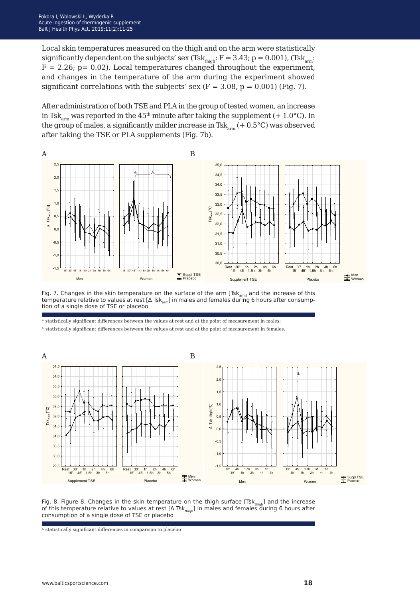Local skin temperatures measured on the thigh and on the arm were statistically significantly dependent on the subjects' sex (Tsk<sub>thigh</sub>:  $F = 3.43$ ; p = 0.001), (Tsk<sub>arm</sub>:  $F = 2.26$ ;  $p = 0.02$ ). Local temperatures changed throughout the experiment, and changes in the temperature of the arm during the experiment showed significant correlations with the subjects' sex ( $F = 3.08$ ,  $p = 0.001$ ) (Fig. 7).

After administration of both TSE and PLA in the group of tested women, an increase in Tsk<sub>arm</sub> was reported in the 45<sup>th</sup> minute after taking the supplement (+ 1.0°C). In the group of males, a significantly milder increase in Tsk<sub>am</sub>  $(+ 0.5^{\circ}C)$  was observed after taking the TSE or PLA supplements (Fig. 7b).



Fig. 7. Changes in the skin temperature on the surface of the arm [Tsk<sub>arm]</sub> and the increase of this temperature relative to values at rest [ $\Delta$  Tsk<sub>arm</sub>] in males and females during 6 hours after consumption of a single dose of TSE or placebo

\* statistically significant differences between the values at rest and at the point of measurement in males;

& statistically significant differences between the values at rest and at the point of measurement in females.



Fig. 8. Figure 8. Changes in the skin temperature on the thigh surface  $[Tsk_{\text{thich}}]$  and the increase of this temperature relative to values at rest  $[\Delta$  Tsk<sub>thigh</sub>] in males and females during 6 hours after consumption of a single dose of TSE or placebo

 $\&$  statistically significant differences in comparison to placebo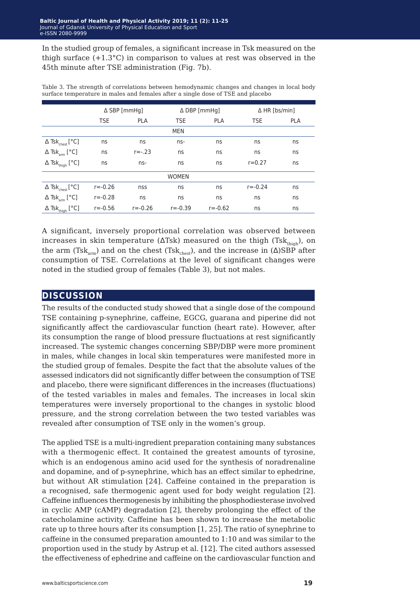In the studied group of females, a significant increase in Tsk measured on the thigh surface  $(+1.3^{\circ}C)$  in comparison to values at rest was observed in the 45th minute after TSE administration (Fig. 7b).

|                                    | $\triangle$ SBP [mmHg] |             |             | $\Delta$ DBP [mmHg] |             | $\Delta$ HR [bs/min] |  |  |
|------------------------------------|------------------------|-------------|-------------|---------------------|-------------|----------------------|--|--|
|                                    | <b>TSE</b>             | <b>PLA</b>  | <b>TSE</b>  | <b>PLA</b>          | <b>TSE</b>  | <b>PLA</b>           |  |  |
| <b>MEN</b>                         |                        |             |             |                     |             |                      |  |  |
| $\Delta$ Tsk <sub>chest</sub> [°C] | ns                     | ns          | $ns-$       | ns                  | ns          | ns                   |  |  |
| $\Delta$ Tsk <sub>arm</sub> [°C]   | ns                     | $r = -0.23$ | ns          | ns                  | ns          | ns                   |  |  |
| $\Delta$ Tsk <sub>thigh</sub> [°C] | ns                     | ns-         | ns          | ns                  | $r = 0.27$  | ns                   |  |  |
| <b>WOMEN</b>                       |                        |             |             |                     |             |                      |  |  |
| $\Delta$ Tsk <sub>chest</sub> [°C] | $r = -0.26$            | nss         | ns          | ns                  | $r = -0.24$ | ns                   |  |  |
| $\Delta$ Tsk <sub>arm</sub> [°C]   | $r = -0.28$            | ns          | ns          | ns                  | ns          | ns                   |  |  |
| $\Delta$ Tsk <sub>thigh</sub> [°C] | $r = -0.56$            | $r = -0.26$ | $r = -0.39$ | $r = -0.62$         | ns          | ns                   |  |  |

Table 3. The strength of correlations between hemodynamic changes and changes in local body surface temperature in males and females after a single dose of TSE and placebo

A significant, inversely proportional correlation was observed between increases in skin temperature ( $\Delta$ Tsk) measured on the thigh (Tsk<sub>thigh</sub>), on the arm (Tsk<sub>arm</sub>) and on the chest (Tsk<sub>chest</sub>), and the increase in ( $\Delta$ )SBP after consumption of TSE. Correlations at the level of significant changes were noted in the studied group of females (Table 3), but not males.

### **discussion**

The results of the conducted study showed that a single dose of the compound TSE containing p-synephrine, caffeine, EGCG, guarana and piperine did not significantly affect the cardiovascular function (heart rate). However, after its consumption the range of blood pressure fluctuations at rest significantly increased. The systemic changes concerning SBP/DBP were more prominent in males, while changes in local skin temperatures were manifested more in the studied group of females. Despite the fact that the absolute values of the assessed indicators did not significantly differ between the consumption of TSE and placebo, there were significant differences in the increases (fluctuations) of the tested variables in males and females. The increases in local skin temperatures were inversely proportional to the changes in systolic blood pressure, and the strong correlation between the two tested variables was revealed after consumption of TSE only in the women's group.

The applied TSE is a multi-ingredient preparation containing many substances with a thermogenic effect. It contained the greatest amounts of tyrosine, which is an endogenous amino acid used for the synthesis of noradrenaline and dopamine, and of p-synephrine, which has an effect similar to ephedrine, but without AR stimulation [24]. Caffeine contained in the preparation is a recognised, safe thermogenic agent used for body weight regulation [2]. Caffeine influences thermogenesis by inhibiting the phosphodiesterase involved in cyclic AMP (cAMP) degradation [2], thereby prolonging the effect of the catecholamine activity. Caffeine has been shown to increase the metabolic rate up to three hours after its consumption [1, 25]. The ratio of synephrine to caffeine in the consumed preparation amounted to 1:10 and was similar to the proportion used in the study by Astrup et al. [12]. The cited authors assessed the effectiveness of ephedrine and caffeine on the cardiovascular function and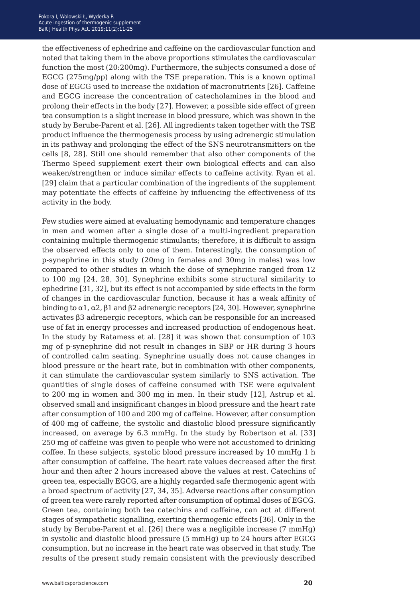the effectiveness of ephedrine and caffeine on the cardiovascular function and noted that taking them in the above proportions stimulates the cardiovascular function the most (20:200mg). Furthermore, the subjects consumed a dose of EGCG (275mg/pp) along with the TSE preparation. This is a known optimal dose of EGCG used to increase the oxidation of macronutrients [26]. Caffeine and EGCG increase the concentration of catecholamines in the blood and prolong their effects in the body [27]. However, a possible side effect of green tea consumption is a slight increase in blood pressure, which was shown in the study by Berube-Parent et al. [26]. All ingredients taken together with the TSE product influence the thermogenesis process by using adrenergic stimulation in its pathway and prolonging the effect of the SNS neurotransmitters on the cells [8, 28]. Still one should remember that also other components of the Thermo Speed supplement exert their own biological effects and can also weaken/strengthen or induce similar effects to caffeine activity. Ryan et al. [29] claim that a particular combination of the ingredients of the supplement may potentiate the effects of caffeine by influencing the effectiveness of its activity in the body.

Few studies were aimed at evaluating hemodynamic and temperature changes in men and women after a single dose of a multi-ingredient preparation containing multiple thermogenic stimulants; therefore, it is difficult to assign the observed effects only to one of them. Interestingly, the consumption of p-synephrine in this study (20mg in females and 30mg in males) was low compared to other studies in which the dose of synephrine ranged from 12 to 100 mg [24, 28, 30]. Synephrine exhibits some structural similarity to ephedrine [31, 32], but its effect is not accompanied by side effects in the form of changes in the cardiovascular function, because it has a weak affinity of binding to  $\alpha$ 1,  $\alpha$ 2,  $\beta$ 1 and  $\beta$ 2 adrenergic receptors [24, 30]. However, synephrine activates β3 adrenergic receptors, which can be responsible for an increased use of fat in energy processes and increased production of endogenous heat. In the study by Ratamess et al. [28] it was shown that consumption of 103 mg of p-synephrine did not result in changes in SBP or HR during 3 hours of controlled calm seating. Synephrine usually does not cause changes in blood pressure or the heart rate, but in combination with other components, it can stimulate the cardiovascular system similarly to SNS activation. The quantities of single doses of caffeine consumed with TSE were equivalent to 200 mg in women and 300 mg in men. In their study [12], Astrup et al. observed small and insignificant changes in blood pressure and the heart rate after consumption of 100 and 200 mg of caffeine. However, after consumption of 400 mg of caffeine, the systolic and diastolic blood pressure significantly increased, on average by 6.3 mmHg. In the study by Robertson et al. [33] 250 mg of caffeine was given to people who were not accustomed to drinking coffee. In these subjects, systolic blood pressure increased by 10 mmHg 1 h after consumption of caffeine. The heart rate values decreased after the first hour and then after 2 hours increased above the values at rest. Catechins of green tea, especially EGCG, are a highly regarded safe thermogenic agent with a broad spectrum of activity [27, 34, 35]. Adverse reactions after consumption of green tea were rarely reported after consumption of optimal doses of EGCG. Green tea, containing both tea catechins and caffeine, can act at different stages of sympathetic signalling, exerting thermogenic effects [36]. Only in the study by Berube-Parent et al. [26] there was a negligible increase (7 mmHg) in systolic and diastolic blood pressure (5 mmHg) up to 24 hours after EGCG consumption, but no increase in the heart rate was observed in that study. The results of the present study remain consistent with the previously described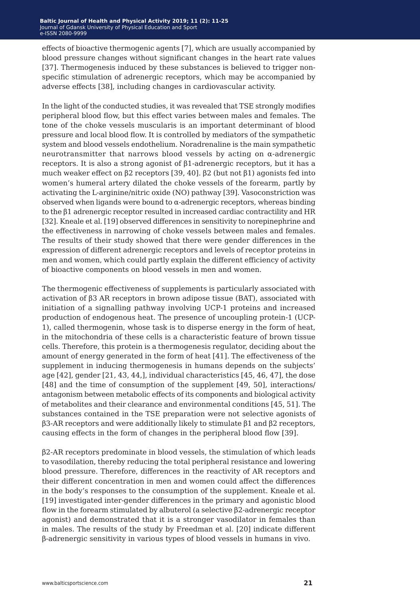effects of bioactive thermogenic agents [7], which are usually accompanied by blood pressure changes without significant changes in the heart rate values [37]. Thermogenesis induced by these substances is believed to trigger nonspecific stimulation of adrenergic receptors, which may be accompanied by adverse effects [38], including changes in cardiovascular activity.

In the light of the conducted studies, it was revealed that TSE strongly modifies peripheral blood flow, but this effect varies between males and females. The tone of the choke vessels muscularis is an important determinant of blood pressure and local blood flow. It is controlled by mediators of the sympathetic system and blood vessels endothelium. Noradrenaline is the main sympathetic neurotransmitter that narrows blood vessels by acting on  $\alpha$ -adrenergic receptors. It is also a strong agonist of β1-adrenergic receptors, but it has a much weaker effect on β2 receptors [39, 40]. β2 (but not β1) agonists fed into women's humeral artery dilated the choke vessels of the forearm, partly by activating the L-arginine/nitric oxide (NO) pathway [39]. Vasoconstriction was observed when ligands were bound to  $\alpha$ -adrenergic receptors, whereas binding to the β1 adrenergic receptor resulted in increased cardiac contractility and HR [32]. Kneale et al. [19] observed differences in sensitivity to norepinephrine and the effectiveness in narrowing of choke vessels between males and females. The results of their study showed that there were gender differences in the expression of different adrenergic receptors and levels of receptor proteins in men and women, which could partly explain the different efficiency of activity of bioactive components on blood vessels in men and women.

The thermogenic effectiveness of supplements is particularly associated with activation of β3 AR receptors in brown adipose tissue (BAT), associated with initiation of a signalling pathway involving UCP-1 proteins and increased production of endogenous heat. The presence of uncoupling protein-1 (UCP-1), called thermogenin, whose task is to disperse energy in the form of heat, in the mitochondria of these cells is a characteristic feature of brown tissue cells. Therefore, this protein is a thermogenesis regulator, deciding about the amount of energy generated in the form of heat [41]. The effectiveness of the supplement in inducing thermogenesis in humans depends on the subjects' age  $[42]$ , gender  $[21, 43, 44]$ , individual characteristics  $[45, 46, 47]$ , the dose [48] and the time of consumption of the supplement [49, 50], interactions/ antagonism between metabolic effects of its components and biological activity of metabolites and their clearance and environmental conditions [45, 51]. The substances contained in the TSE preparation were not selective agonists of β3-AR receptors and were additionally likely to stimulate β1 and β2 receptors, causing effects in the form of changes in the peripheral blood flow [39].

β2-AR receptors predominate in blood vessels, the stimulation of which leads to vasodilation, thereby reducing the total peripheral resistance and lowering blood pressure. Therefore, differences in the reactivity of AR receptors and their different concentration in men and women could affect the differences in the body's responses to the consumption of the supplement. Kneale et al. [19] investigated inter-gender differences in the primary and agonistic blood flow in the forearm stimulated by albuterol (a selective β2-adrenergic receptor agonist) and demonstrated that it is a stronger vasodilator in females than in males. The results of the study by Freedman et al. [20] indicate different β-adrenergic sensitivity in various types of blood vessels in humans in vivo.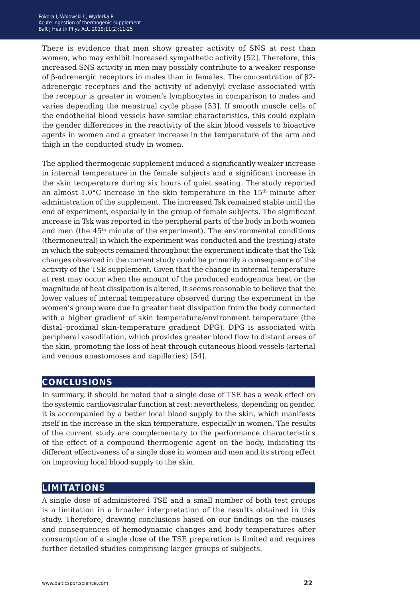There is evidence that men show greater activity of SNS at rest than women, who may exhibit increased sympathetic activity [52]. Therefore, this increased SNS activity in men may possibly contribute to a weaker response of β-adrenergic receptors in males than in females. The concentration of β2 adrenergic receptors and the activity of adenylyl cyclase associated with the receptor is greater in women's lymphocytes in comparison to males and varies depending the menstrual cycle phase [53]. If smooth muscle cells of the endothelial blood vessels have similar characteristics, this could explain the gender differences in the reactivity of the skin blood vessels to bioactive agents in women and a greater increase in the temperature of the arm and thigh in the conducted study in women.

The applied thermogenic supplement induced a significantly weaker increase in internal temperature in the female subjects and a significant increase in the skin temperature during six hours of quiet seating. The study reported an almost  $1.0^{\circ}$ C increase in the skin temperature in the  $15<sup>th</sup>$  minute after administration of the supplement. The increased Tsk remained stable until the end of experiment, especially in the group of female subjects. The significant increase in Tsk was reported in the peripheral parts of the body in both women and men (the  $45<sup>th</sup>$  minute of the experiment). The environmental conditions (thermoneutral) in which the experiment was conducted and the (resting) state in which the subjects remained throughout the experiment indicate that the Tsk changes observed in the current study could be primarily a consequence of the activity of the TSE supplement. Given that the change in internal temperature at rest may occur when the amount of the produced endogenous heat or the magnitude of heat dissipation is altered, it seems reasonable to believe that the lower values of internal temperature observed during the experiment in the women's group were due to greater heat dissipation from the body connected with a higher gradient of skin temperature/environment temperature (the distal–proximal skin-temperature gradient DPG). DPG is associated with peripheral vasodilation, which provides greater blood flow to distant areas of the skin, promoting the loss of heat through cutaneous blood vessels (arterial and venous anastomoses and capillaries) [54].

### **conclusions**

In summary, it should be noted that a single dose of TSE has a weak effect on the systemic cardiovascular function at rest; nevertheless, depending on gender, it is accompanied by a better local blood supply to the skin, which manifests itself in the increase in the skin temperature, especially in women. The results of the current study are complementary to the performance characteristics of the effect of a compound thermogenic agent on the body, indicating its different effectiveness of a single dose in women and men and its strong effect on improving local blood supply to the skin.

### **limitations**

A single dose of administered TSE and a small number of both test groups is a limitation in a broader interpretation of the results obtained in this study. Therefore, drawing conclusions based on our findings on the causes and consequences of hemodynamic changes and body temperatures after consumption of a single dose of the TSE preparation is limited and requires further detailed studies comprising larger groups of subjects.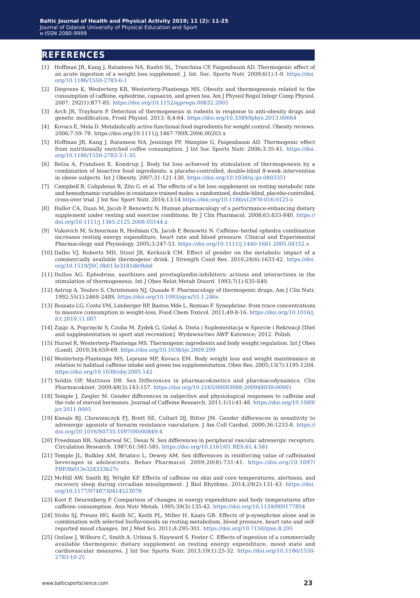### **references**

- [1] Hoffman JR, Kang J, Ratamess NA, Rashti SL, Tranchina CP, Faigenbaum AD. Thermogenic effect of an acute ingestion of a weight loss supplement. J. Int. Soc. Sports Nutr. 2009;6(1):1-9. [https://doi.](https://doi.org/10.1186/1550-2783-6-1) [org/10.1186/1550-2783-6-1](https://doi.org/10.1186/1550-2783-6-1)
- [2] Diepvens K, Westerterp KR, Westerterp-Plantenga MS. Obesity and thermogenesis related to the consumption of caffeine, ephedrine, capsaicin, and green tea. Am J Physiol Regul Integr Comp Physiol. 2007; 292(1):R77-85.<https://doi.org/10.1152/ajpregu.00832.2005>
- [3] Arch JR, Trayhurn P. Detection of thermogenesis in rodents in response to anti-obesity drugs and genetic modification. Front Physiol. 2013; 8;4:64. <https://doi.org/10.3389/fphys.2013.00064>
- [4] Kovacs E, Mela D. Metabolically active functional food ingredients for weight control. Obesity reviews. 2006;7:59–78.<https://doi.org/10.1111/j.1467-789X.2006.00203.x>
- [5] Hoffman JR, Kang J, Ratamess NA, Jennings PF, Mangine G, Faigenbaum AD. Thermogenic effect from nutritionally enriched coffee consumption. J Int Soc Sports Nutr. 2006;3:35-41. [https://doi.](https://doi.org/10.1186/1550-2783-3-1-35) [org/10.1186/1550-2783-3-1-35](https://doi.org/10.1186/1550-2783-3-1-35)
- [6] Belza A, Frandsen E, Kondrup J. Body fat loss achieved by stimulation of thermogenesis by a combination of bioactive food ingredients: a placebo-controlled, double-blind 8-week intervention in obese subjects. Int J Obesity. 2007;31:121-130. <https://doi.org/10.1038/sj.ijo.0803351>
- [7] Campbell B, Colquhoun R, Zito G, et al. The effects of a fat loss supplement on resting metabolic rate and hemodynamic variables in resistance trained males: a randomized, double-blind, placebo-controlled, cross-over trial. J Int Soc Sport Nutr. 2016;13:14<https://doi.org/10.1186/s12970-016-0125-z>
- [8] Haller CA, Duan M, Jacob P, Benowitz N. Human pharmacology of a performance-enhancing dietary supplement under resting and exercise conditions. Br J Clin Pharmacol. 2008;65:833-840. [https://](https://doi.org/10.1111/j.1365-2125.2008.03144.x) [doi.org/10.1111/j.1365-2125.2008.03144.x](https://doi.org/10.1111/j.1365-2125.2008.03144.x)
- [9] Vukovich M, Schoorman R, Heilman Ch, Jacob P, Benowitz N. Caffeine–herbal ephedra combination increases resting energy expenditure, heart rate and blood pressure. Clinical and Experimental Pharmacology and Physiology. 2005;3:247-53.<https://doi.org/10.1111/j.1440-1681.2005.04152.x>
- [10] Dalbo VJ, Roberts MD, Stout JR, Kerksick CM. Effect of gender on the metabolic impact of a commercially available thermogenic drink. J Strength Cond Res. 2010;24(6):1633-42. [https://doi.](https://doi.org/10.1519/JSC.0b013e3181db9bbd) [org/10.1519/JSC.0b013e3181db9bbd](https://doi.org/10.1519/JSC.0b013e3181db9bbd)
- [11] Dulloo AG. Ephedrine, xanthines and prostaglandin-inhibitors: actions and interactions in the stimulation of thermogenesis. Int J Obes Relat Metab Disord. 1993;7(1):S35-S40.
- [12] Astrup A, Toubro S, Christensen NJ, Quaade F. Pharmacology of thermogenic drugs. Am J Clin Nutr. 1992;55(1):246S-248S. <https://doi.org/10.1093/ajcn/55.1.246s>
- [13] Rossato LG, Costa VM, Limberger RP, Bastos Mde L, Remiao F. Synephrine: from trace concentrations to massive consumption in weight-loss. Food Chem Toxicol. 2011;49:8-16. [https://doi.org/10.1016/j.](https://doi.org/10.1016/j.fct.2010.11.007) [fct.2010.11.007](https://doi.org/10.1016/j.fct.2010.11.007)
- [14] Zając A, Poprzęcki S, Czuba M, Zydek G, Gołaś A. Dieta i Suplementacja w Sporcie i Rekreacji [Diet and supplementation in sport and recreation]. Wydawnictwo AWF Katowice; 2012. Polish.
- [15] Hursel R, Westerterp-Plantenga MS. Thermogenic ingredients and body weight regulation. Int J Obes (Lond). 2010;34:659-69. <https://doi.org/10.1038/ijo.2009.299>
- [16] Westerterp-Plantenga MS, Lejeune MP, Kovacs EM. Body weight loss and weight maintenance in relation to habitual caffeine intake and green tea supplementation. Obes Res. 2005;13(7):1195-1204. <https://doi.org/10.1038/oby.2005.142>
- [17] Soldin OP, Mattison DR. Sex Differences in pharmacokinetics and pharmacodynamics. Clin Pharmacokinet. 2009;48(3):143-157.<https://doi.org/10.2165/00003088-200948030-00001>
- [18] Temple J, Ziegler M. Gender differences in subjective and physiological responses to caffeine and the role of steroid hormones. Journal of Caffeine Research. 2011;1(1):41-48. [https://doi.org/10.1089/](https://doi.org/10.1089/jcr.2011.0005) [jcr.2011.0005](https://doi.org/10.1089/jcr.2011.0005)
- [19] Kneale BJ, Chowienczyk PJ, Brett SE, Coltart DJ, Ritter JM. Gender differences in sensitivity to adrenergic agonists of forearm resistance vasculature. J Am Coll Cardiol. 2000;36:1233-8. [https://](https://doi.org/10.1016/S0735-1097(00)00849-4) [doi.org/10.1016/S0735-1097\(00\)00849-4](https://doi.org/10.1016/S0735-1097(00)00849-4)
- [20] Freedman RR, Sabharwal SC, Desai N. Sex differences in peripheral vascular adrenergic receptors. Circulation Research. 1987;61:581-585. <https://doi.org/10.1161/01.RES.61.4.581>
- [21] Temple JL, Bulkley AM, Briatico L, Dewey AM. Sex differences in reinforcing value of caffeinated beverages in adolescents. Behav Pharmacol. 2009;20(8):731-41. [https://doi.org/10.1097/](https://doi.org/10.1097/FBP.0b013e328333b27c) [FBP.0b013e328333b27c](https://doi.org/10.1097/FBP.0b013e328333b27c)
- [22] McHill AW, Smith BJ, Wright KP. Effects of caffeine on skin and core temperatures, alertness, and recovery sleep during circadian misalignment. J Biol Rhythms. 2014;29(2):131-43. [https://doi.](https://doi.org/10.1177/0748730414523078) [org/10.1177/0748730414523078](https://doi.org/10.1177/0748730414523078)
- [23] Koot P, Deurenberg P. Comparison of changes in energy expenditure and body temperatures after caffeine consumption. Ann Nutr Metab. 1995;39(3):135-42. <https://doi.org/10.1159/000177854>
- [24] Stohs SJ, Preuss HG, Keith SC, Keith PL, Miller H, Kaats GR. Effects of p-synephrine alone and in combination with selected bioflavonoids on resting metabolism, blood pressure, heart rate and selfreported mood changes. Int J Med Sci. 2011;8:295-301.<https://doi.org/10.7150/ijms.8.295>
- [25] Outlaw J, Wilborn C, Smith A, Urbina S, Hayward S, Foster C. Effects of ingestion of a commercially available thermogenic dietary supplement on resting energy expenditure, mood state and cardiovascular measures. J Int Soc Sports Nutr. 2013;10(1):25-32. [https://doi.org/10.1186/1550-](https://doi.org/10.1186/1550-2783-10-25) [2783-10-25](https://doi.org/10.1186/1550-2783-10-25)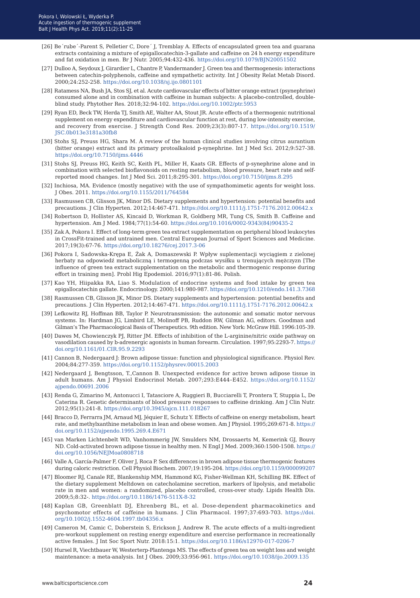- [26] Be´rube´-Parent S, Pelletier C, Dore´ J, Tremblay A. Effects of encapsulated green tea and guarana extracts containing a mixture of epigallocatechin-3-gallate and caffeine on 24 h energy expenditure and fat oxidation in men. Br J Nutr. 2005;94:432-436.<https://doi.org/10.1079/BJN20051502>
- [27] Dulloo A, Seydoux J, Girardier L, Chantre P, Vandermander J. Green tea and thermogenesis: interactions between catechin-polyphenols, caffeine and sympathetic activity. Int J Obesity Relat Metab Disord. 2000;24:252-258.<https://doi.org/10.1038/sj.ijo.0801101>
- [28] Ratamess NA, Bush JA, Stos SJ, et al. Acute cardiovascular effects of bitter orange extract (psynephrine) consumed alone and in combination with caffeine in human subjects: A placebo-controlled, doubleblind study. Phytother Res. 2018;32:94-102. <https://doi.org/10.1002/ptr.5953>
- [29] Ryan ED, Beck TW, Herda TJ, Smith AE, Walter AA, Stout JR. Acute effects of a thermogenic nutritional supplement on energy expenditure and cardiovascular function at rest, during low-intensity exercise, and recovery from exercise. J Strength Cond Res. 2009;23(3):807-17. [https://doi.org/10.1519/](https://doi.org/10.1519/JSC.0b013e3181a30fb8) [JSC.0b013e3181a30fb8](https://doi.org/10.1519/JSC.0b013e3181a30fb8)
- [30] Stohs SJ, Preuss HG, Shara M. A review of the human clinical studies involving citrus aurantium (bitter orange) extract and its primary protoalkaloid p-synephrine. Int J Med Sci. 2012;9:527-38. <https://doi.org/10.7150/ijms.4446>
- [31] Stohs SJ, Preuss HG, Keith SC, Keith PL, Miller H, Kaats GR. Effects of p-synephrine alone and in combination with selected bioflavonoids on resting metabolism, blood pressure, heart rate and selfreported mood changes. Int J Med Sci. 2011;8:295-301.<https://doi.org/10.7150/ijms.8.295>
- [32] Inchiosa, MA. Evidence (mostly negative) with the use of sympathomimetic agents for weight loss. J Obes. 2011.<https://doi.org/10.1155/2011/764584>
- [33] Rasmussen CB, Glisson JK, Minor DS. Dietary supplements and hypertension: potential benefits and precautions. J Clin Hyperten. 2012;14:467-471.<https://doi.org/10.1111/j.1751-7176.2012.00642.x>
- [34] Robertson D, Hollister AS, Kincaid D, Workman R, Goldberg MR, Tung CS, Smith B. Caffeine and hypertension. Am J Med. 1984;77(1):54-60. [https://doi.org/10.1016/0002-9343\(84\)90435-2](https://doi.org/10.1016/0002-9343(84)90435-2)
- [35] Zak A, Pokora I. Effect of long-term green tea extract supplementation on peripheral blood leukocytes in CrossFit-trained and untrained men. Central European Journal of Sport Sciences and Medicine. 2017;19(3):67-76.<https://doi.org/10.18276/cej.2017.3-06>
- [36] Pokora I, Sadowska-Krępa E, Żak A, Domaszewski P. Wpływ suplementacji wyciągiem z zielonej herbaty na odpowiedź metaboliczną i termogenną podczas wysiłku u trenujących mężczyzn [The influence of green tea extract supplementation on the metabolic and thermogenic response during effort in training men]. Probl Hig Epodemiol. 2016;97(1):81-86. Polish.
- [37] Kao YH, Hiipakka RA, Liao S. Modulation of endocrine systems and food intake by green tea epigallocatechin gallate. Endocrinology. 2000;141:980-987.<https://doi.org/10.1210/endo.141.3.7368>
- [38] Rasmussen CB, Glisson JK, Minor DS. Dietary supplements and hypertension: potential benefits and precautions. J Clin Hyperten. 2012;14:467-471.<https://doi.org/10.1111/j.1751-7176.2012.00642.x>
- [39] Lefkowitz RJ, Hoffman BB, Taylor P. Neurotransmission: the autonomic and somatic motor nervous systems. In: Hardman JG, Limbird LE, Molinoff PB, Ruddon RW, Gilman AG, editors. Goodman and Gilman's The Pharmacological Basis of Therapeutics. 9th edition. New York: McGraw Hill. 1996:105-39.
- [40] Dawes M, Chowienczyk PJ, Ritter JM. Effects of inhibition of the L-arginine/nitric oxide pathway on vasodilation caused by b-adrenergic agonists in human forearm. Circulation. 1997;95:2293-7. [https://](https://doi.org/10.1161/01.CIR.95.9.2293) [doi.org/10.1161/01.CIR.95.9.2293](https://doi.org/10.1161/01.CIR.95.9.2293)
- [41] Cannon B, Nedergaard J: Brown adipose tissue: function and physiological significance. Physiol Rev. 2004;84:277-359.<https://doi.org/10.1152/physrev.00015.2003>
- [42] Nedergaard J, Bengtsson, T.,Cannon B. Unexpected evidence for active brown adipose tissue in adult humans. Am J Physiol Endocrinol Metab. 2007;293:E444–E452. [https://doi.org/10.1152/](https://doi.org/10.1152/ajpendo.00691.2006) [ajpendo.00691.2006](https://doi.org/10.1152/ajpendo.00691.2006)
- [43] Renda G, Zimarino M, Antonucci I, Tatasciore A, Ruggieri B, Bucciarelli T, Prontera T, Stuppia L, De Caterina R. Genetic determinants of blood pressure responses to caffeine drinking. Am J Clin Nutr. 2012;95(1):241-8.<https://doi.org/10.3945/ajcn.111.018267>
- [44] Bracco D, Ferrarra JM, Arnaud MJ, Jéquier E, Schutz Y. Effects of caffeine on energy metabolism, heart rate, and methylxanthine metabolism in lean and obese women. Am J Physiol. 1995;269:671-8. [https://](https://doi.org/10.1152/ajpendo.1995.269.4.E671) [doi.org/10.1152/ajpendo.1995.269.4.E671](https://doi.org/10.1152/ajpendo.1995.269.4.E671)
- [45] van Marken Lichtenbelt WD, Vanhommerig JW, Smulders NM, Drossaerts M, Kemerink GJ, Bouvy ND. Cold-activated brown adipose tissue in healthy men. N Engl J Med. 2009;360:1500-1508. [https://](https://doi.org/10.1056/NEJMoa0808718) [doi.org/10.1056/NEJMoa0808718](https://doi.org/10.1056/NEJMoa0808718)
- [46] Valle A, García-Palmer F, Oliver J, Roca P. Sex differences in brown adipose tissue thermogenic features during caloric restriction. Cell Physiol Biochem. 2007;19:195-204.<https://doi.org/10.1159/000099207>
- [47] Bloomer RJ, Canale RE, Blankenship MM, Hammond KG, Fisher-Wellman KH, Schilling BK. Effect of the dietary supplement Meltdown on catecholamine secretion, markers of lipolysis, and metabolic rate in men and women: a randomized, placebo controlled, cross-over study. Lipids Health Dis. 2009;5;8:32-. <https://doi.org/10.1186/1476-511X-8-32>
- [48] Kaplan GB, Greenblatt DJ, Ehrenberg BL, et al. Dose-dependent pharmacokinetics and psychomotor effects of caffeine in humans. J Clin Pharmacol. 1997;37:693-703. [https://doi.](https://doi.org/10.1002/j.1552-4604.1997.tb04356.x) [org/10.1002/j.1552-4604.1997.tb04356.x](https://doi.org/10.1002/j.1552-4604.1997.tb04356.x)
- [49] Cameron M, Camic C, Doberstein S, Erickson J, Andrew R. The acute effects of a multi-ingredient pre-workout supplement on resting energy expenditure and exercise performance in recreationally active females. J Int Soc Sport Nutr. 2018:15:1.<https://doi.org/10.1186/s12970-017-0206-7>
- [50] Hursel R, Viechtbauer W, Westerterp-Plantenga MS. The effects of green tea on weight loss and weight maintenance: a meta-analysis. Int J Obes. 2009;33:956-961. <https://doi.org/10.1038/ijo.2009.135>